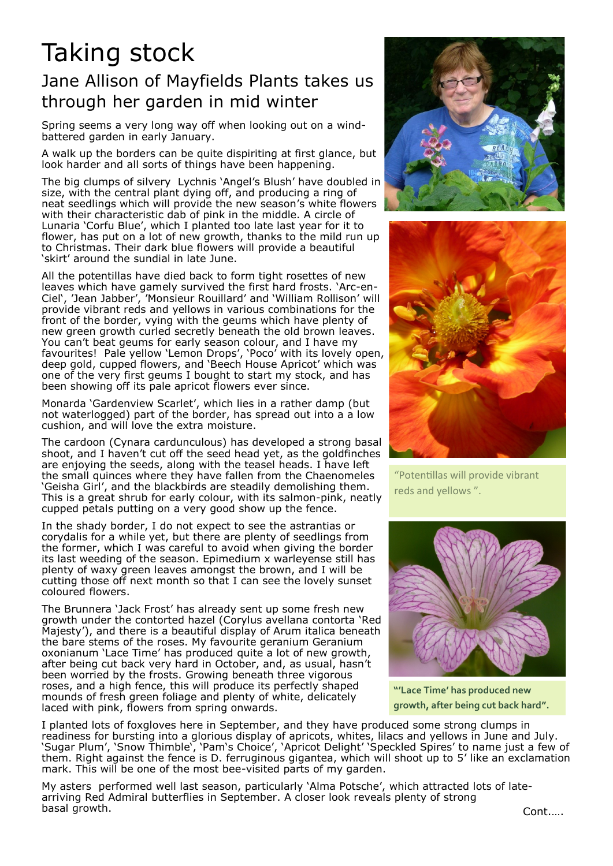## Taking stock

## Jane Allison of Mayfields Plants takes us through her garden in mid winter

Spring seems a very long way off when looking out on a windbattered garden in early January.

A walk up the borders can be quite dispiriting at first glance, but look harder and all sorts of things have been happening.

The big clumps of silvery Lychnis 'Angel's Blush' have doubled in size, with the central plant dying off, and producing a ring of neat seedlings which will provide the new season's white flowers with their characteristic dab of pink in the middle. A circle of Lunaria 'Corfu Blue', which I planted too late last year for it to flower, has put on a lot of new growth, thanks to the mild run up to Christmas. Their dark blue flowers will provide a beautiful 'skirt' around the sundial in late June.

All the potentillas have died back to form tight rosettes of new leaves which have gamely survived the first hard frosts. 'Arc-en-Ciel', 'Jean Jabber', 'Monsieur Rouillard' and 'William Rollison' will provide vibrant reds and yellows in various combinations for the front of the border, vying with the geums which have plenty of new green growth curled secretly beneath the old brown leaves. You can't beat geums for early season colour, and I have my favourites! Pale yellow 'Lemon Drops', 'Poco' with its lovely open, deep gold, cupped flowers, and 'Beech House Apricot' which was one of the very first geums I bought to start my stock, and has been showing off its pale apricot flowers ever since.

Monarda 'Gardenview Scarlet', which lies in a rather damp (but not waterlogged) part of the border, has spread out into a a low cushion, and will love the extra moisture.

The cardoon (Cynara cardunculous) has developed a strong basal shoot, and I haven't cut off the seed head yet, as the goldfinches are enjoying the seeds, along with the teasel heads. I have left the small quinces where they have fallen from the Chaenomeles 'Geisha Girl', and the blackbirds are steadily demolishing them. This is a great shrub for early colour, with its salmon-pink, neatly cupped petals putting on a very good show up the fence.

In the shady border, I do not expect to see the astrantias or corydalis for a while yet, but there are plenty of seedlings from the former, which I was careful to avoid when giving the border its last weeding of the season. Epimedium x warleyense still has plenty of waxy green leaves amongst the brown, and I will be cutting those off next month so that I can see the lovely sunset coloured flowers.

The Brunnera 'Jack Frost' has already sent up some fresh new growth under the contorted hazel (Corylus avellana contorta 'Red Majesty'), and there is a beautiful display of Arum italica beneath the bare stems of the roses. My favourite geranium Geranium oxonianum 'Lace Time' has produced quite a lot of new growth, after being cut back very hard in October, and, as usual, hasn't been worried by the frosts. Growing beneath three vigorous roses, and a high fence, this will produce its perfectly shaped mounds of fresh green foliage and plenty of white, delicately laced with pink, flowers from spring onwards.





"Potentillas will provide vibrant reds and yellows ".



**"'Lace Time' has produced new growth, after being cut back hard".**

I planted lots of foxgloves here in September, and they have produced some strong clumps in readiness for bursting into a glorious display of apricots, whites, lilacs and yellows in June and July. 'Sugar Plum', 'Snow Thimble', 'Pam's Choice', 'Apricot Delight' 'Speckled Spires' to name just a few of them. Right against the fence is D. ferruginous gigantea, which will shoot up to 5' like an exclamation mark. This will be one of the most bee-visited parts of my garden.

My asters performed well last season, particularly 'Alma Potsche', which attracted lots of latearriving Red Admiral butterflies in September. A closer look reveals plenty of strong basal growth.

Cont.….